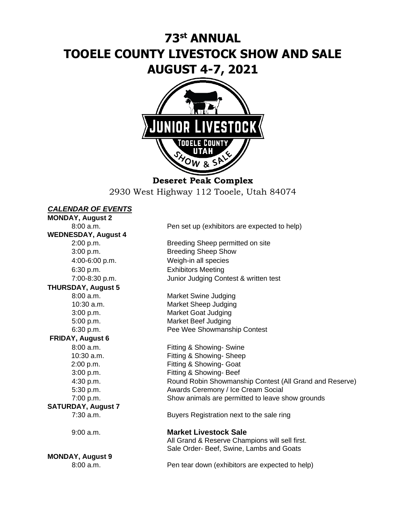# **73 st ANNUAL TOOELE COUNTY LIVESTOCK SHOW AND SALE AUGUST 4-7, 2021**



**Deseret Peak Complex** 2930 West Highway 112 Tooele, Utah 84074

# *CALENDAR OF EVENTS*

**MONDAY, August 2 WEDNESDAY, August 4** 6:30 p.m. Exhibitors Meeting **THURSDAY, August 5 FRIDAY, August 6 SATURDAY, August 7 MONDAY, August 9**

8:00 a.m. Pen set up (exhibitors are expected to help)

2:00 p.m. Breeding Sheep permitted on site 3:00 p.m. Breeding Sheep Show 4:00-6:00 p.m. Weigh-in all species 7:00-8:30 p.m. Junior Judging Contest & written test

8:00 a.m. Market Swine Judging 10:30 a.m. Market Sheep Judging 3:00 p.m. Market Goat Judging 5:00 p.m. Market Beef Judging 6:30 p.m. Pee Wee Showmanship Contest

8:00 a.m. Fitting & Showing- Swine 10:30 a.m. Fitting & Showing- Sheep 2:00 p.m. Fitting & Showing- Goat 3:00 p.m. Fitting & Showing- Beef 4:30 p.m. Round Robin Showmanship Contest (All Grand and Reserve) 5:30 p.m. Awards Ceremony / Ice Cream Social 7:00 p.m. Show animals are permitted to leave show grounds

7:30 a.m. Buyers Registration next to the sale ring

9:00 a.m. **Market Livestock Sale**

All Grand & Reserve Champions will sell first. Sale Order- Beef, Swine, Lambs and Goats

8:00 a.m. Pen tear down (exhibitors are expected to help)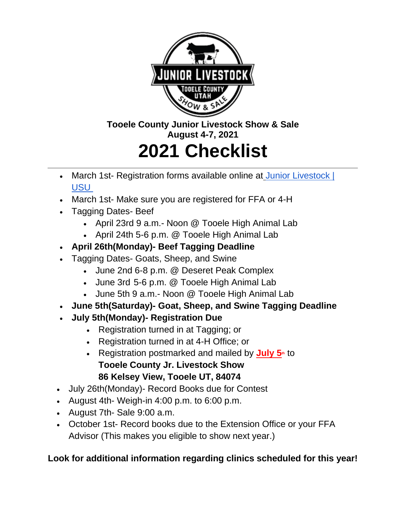

# **Tooele County Junior Livestock Show & Sale August 4-7, 2021**

# **2021 Checklist**

- March 1st- Registration forms available online at Junior Livestock | [USU](https://extension.usu.edu/tooele/juniorlivestock)
- March 1st- Make sure you are registered for FFA or 4-H
- Tagging Dates- Beef
	- April 23rd 9 a.m.- Noon @ Tooele High Animal Lab
	- April 24th 5-6 p.m. @ Tooele High Animal Lab
- **April 26th(Monday)- Beef Tagging Deadline**
- Tagging Dates- Goats, Sheep, and Swine
	- June 2nd 6-8 p.m. @ Deseret Peak Complex
	- June 3rd 5-6 p.m. @ Tooele High Animal Lab
	- June 5th 9 a.m.- Noon @ Tooele High Animal Lab
- **June 5th(Saturday)- Goat, Sheep, and Swine Tagging Deadline**
- **July 5th(Monday)- Registration Due**
	- Registration turned in at Tagging; or
	- Registration turned in at 4-H Office; or
	- Registration postmarked and mailed by **July 5**<sup>th</sup> to **Tooele County Jr. Livestock Show 86 Kelsey View, Tooele UT, 84074**
- July 26th(Monday)- Record Books due for Contest
- August 4th- Weigh-in 4:00 p.m. to 6:00 p.m.
- August 7th- Sale 9:00 a.m.
- October 1st- Record books due to the Extension Office or your FFA Advisor (This makes you eligible to show next year.)

# **Look for additional information regarding clinics scheduled for this year!**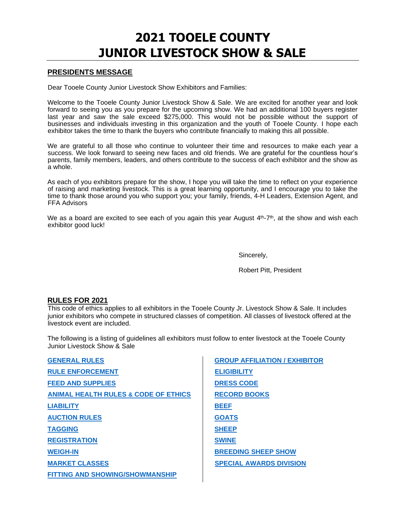# **2021 TOOELE COUNTY JUNIOR LIVESTOCK SHOW & SALE**

# **PRESIDENTS MESSAGE**

Dear Tooele County Junior Livestock Show Exhibitors and Families:

Welcome to the Tooele County Junior Livestock Show & Sale. We are excited for another year and look forward to seeing you as you prepare for the upcoming show. We had an additional 100 buyers register last year and saw the sale exceed \$275,000. This would not be possible without the support of businesses and individuals investing in this organization and the youth of Tooele County. I hope each exhibitor takes the time to thank the buyers who contribute financially to making this all possible.

We are grateful to all those who continue to volunteer their time and resources to make each year a success. We look forward to seeing new faces and old friends. We are grateful for the countless hour's parents, family members, leaders, and others contribute to the success of each exhibitor and the show as a whole.

As each of you exhibitors prepare for the show, I hope you will take the time to reflect on your experience of raising and marketing livestock. This is a great learning opportunity, and I encourage you to take the time to thank those around you who support you; your family, friends, 4-H Leaders, Extension Agent, and FFA Advisors

We as a board are excited to see each of you again this year August  $4<sup>th</sup>$ -7<sup>th</sup>, at the show and wish each exhibitor good luck!

Sincerely,

Robert Pitt, President

# **RULES FOR 2021**

This code of ethics applies to all exhibitors in the Tooele County Jr. Livestock Show & Sale. It includes junior exhibitors who compete in structured classes of competition. All classes of livestock offered at the livestock event are included.

The following is a listing of guidelines all exhibitors must follow to enter livestock at the Tooele County Junior Livestock Show & Sale

<span id="page-2-0"></span>

| <b>GENERAL RULES</b>                            | <b>GROUP AFFILIATION / EXHIBITOR</b> |
|-------------------------------------------------|--------------------------------------|
| <b>RULE ENFORCEMENT</b>                         | <b>ELIGIBILITY</b>                   |
| <b>FEED AND SUPPLIES</b>                        | <b>DRESS CODE</b>                    |
| <b>ANIMAL HEALTH RULES &amp; CODE OF ETHICS</b> | <b>RECORD BOOKS</b>                  |
| <b>LIABILITY</b>                                | <b>BEEF</b>                          |
| <b>AUCTION RULES</b>                            | <b>GOATS</b>                         |
| <b>TAGGING</b>                                  | <b>SHEEP</b>                         |
| <b>REGISTRATION</b>                             | <b>SWINE</b>                         |
| <b>WEIGH-IN</b>                                 | <b>BREEDING SHEEP SHOW</b>           |
| <b>MARKET CLASSES</b>                           | <b>SPECIAL AWARDS DIVISION</b>       |
| <b>FITTING AND SHOWING/SHOWMANSHIP</b>          |                                      |
|                                                 |                                      |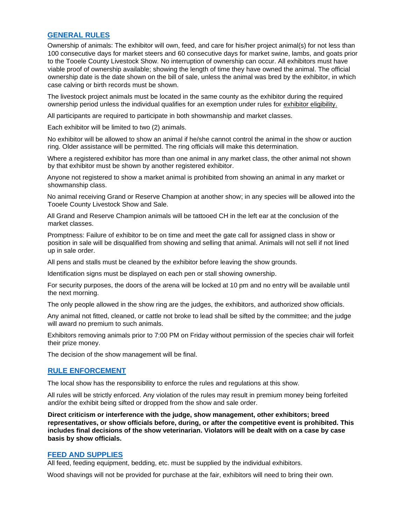# <span id="page-3-0"></span>**[GENERAL RULES](#page-2-0)**

Ownership of animals: The exhibitor will own, feed, and care for his/her project animal(s) for not less than 100 consecutive days for market steers and 60 consecutive days for market swine, lambs, and goats prior to the Tooele County Livestock Show. No interruption of ownership can occur. All exhibitors must have viable proof of ownership available; showing the length of time they have owned the animal. The official ownership date is the date shown on the bill of sale, unless the animal was bred by the exhibitor, in which case calving or birth records must be shown.

The livestock project animals must be located in the same county as the exhibitor during the required ownership period unless the individual qualifies for an exemption under rules for exhibitor eligibility.

All participants are required to participate in both showmanship and market classes.

Each exhibitor will be limited to two (2) animals.

No exhibitor will be allowed to show an animal if he/she cannot control the animal in the show or auction ring. Older assistance will be permitted. The ring officials will make this determination.

Where a registered exhibitor has more than one animal in any market class, the other animal not shown by that exhibitor must be shown by another registered exhibitor.

Anyone not registered to show a market animal is prohibited from showing an animal in any market or showmanship class.

No animal receiving Grand or Reserve Champion at another show; in any species will be allowed into the Tooele County Livestock Show and Sale.

All Grand and Reserve Champion animals will be tattooed CH in the left ear at the conclusion of the market classes.

Promptness: Failure of exhibitor to be on time and meet the gate call for assigned class in show or position in sale will be disqualified from showing and selling that animal. Animals will not sell if not lined up in sale order.

All pens and stalls must be cleaned by the exhibitor before leaving the show grounds.

Identification signs must be displayed on each pen or stall showing ownership.

For security purposes, the doors of the arena will be locked at 10 pm and no entry will be available until the next morning.

The only people allowed in the show ring are the judges, the exhibitors, and authorized show officials.

Any animal not fitted, cleaned, or cattle not broke to lead shall be sifted by the committee; and the judge will award no premium to such animals.

Exhibitors removing animals prior to 7:00 PM on Friday without permission of the species chair will forfeit their prize money.

The decision of the show management will be final.

#### <span id="page-3-1"></span>**[RULE ENFORCEMENT](#page-2-0)**

The local show has the responsibility to enforce the rules and regulations at this show.

All rules will be strictly enforced. Any violation of the rules may result in premium money being forfeited and/or the exhibit being sifted or dropped from the show and sale order.

**Direct criticism or interference with the judge, show management, other exhibitors; breed representatives, or show officials before, during, or after the competitive event is prohibited. This includes final decisions of the show veterinarian. Violators will be dealt with on a case by case basis by show officials.** 

#### <span id="page-3-2"></span>**[FEED AND SUPPLIES](#page-2-0)**

All feed, feeding equipment, bedding, etc. must be supplied by the individual exhibitors.

Wood shavings will not be provided for purchase at the fair, exhibitors will need to bring their own.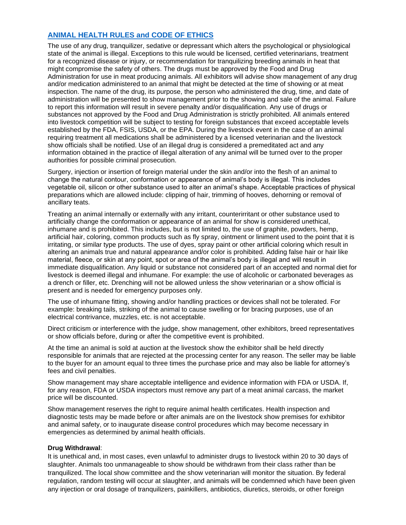# <span id="page-4-0"></span>**[ANIMAL HEALTH RULES and CODE OF ETHICS](#page-2-0)**

The use of any drug, tranquilizer, sedative or depressant which alters the psychological or physiological state of the animal is illegal. Exceptions to this rule would be licensed, certified veterinarians, treatment for a recognized disease or injury, or recommendation for tranquilizing breeding animals in heat that might compromise the safety of others. The drugs must be approved by the Food and Drug Administration for use in meat producing animals. All exhibitors will advise show management of any drug and/or medication administered to an animal that might be detected at the time of showing or at meat inspection. The name of the drug, its purpose, the person who administered the drug, time, and date of administration will be presented to show management prior to the showing and sale of the animal. Failure to report this information will result in severe penalty and/or disqualification. Any use of drugs or substances not approved by the Food and Drug Administration is strictly prohibited. All animals entered into livestock competition will be subject to testing for foreign substances that exceed acceptable levels established by the FDA, FSIS, USDA, or the EPA. During the livestock event in the case of an animal requiring treatment all medications shall be administered by a licensed veterinarian and the livestock show officials shall be notified. Use of an illegal drug is considered a premeditated act and any information obtained in the practice of illegal alteration of any animal will be turned over to the proper authorities for possible criminal prosecution.

Surgery, injection or insertion of foreign material under the skin and/or into the flesh of an animal to change the natural contour, conformation or appearance of animal's body is illegal. This includes vegetable oil, silicon or other substance used to alter an animal's shape. Acceptable practices of physical preparations which are allowed include: clipping of hair, trimming of hooves, dehorning or removal of ancillary teats.

Treating an animal internally or externally with any irritant, counterirritant or other substance used to artificially change the conformation or appearance of an animal for show is considered unethical, inhumane and is prohibited. This includes, but is not limited to, the use of graphite, powders, hemp, artificial hair, coloring, common products such as fly spray, ointment or liniment used to the point that it is irritating, or similar type products. The use of dyes, spray paint or other artificial coloring which result in altering an animals true and natural appearance and/or color is prohibited. Adding false hair or hair like material, fleece, or skin at any point, spot or area of the animal's body is illegal and will result in immediate disqualification. Any liquid or substance not considered part of an accepted and normal diet for livestock is deemed illegal and inhumane. For example: the use of alcoholic or carbonated beverages as a drench or filler, etc. Drenching will not be allowed unless the show veterinarian or a show official is present and is needed for emergency purposes only.

The use of inhumane fitting, showing and/or handling practices or devices shall not be tolerated. For example: breaking tails, striking of the animal to cause swelling or for bracing purposes, use of an electrical contrivance, muzzles, etc. is not acceptable.

Direct criticism or interference with the judge, show management, other exhibitors, breed representatives or show officials before, during or after the competitive event is prohibited.

At the time an animal is sold at auction at the livestock show the exhibitor shall be held directly responsible for animals that are rejected at the processing center for any reason. The seller may be liable to the buyer for an amount equal to three times the purchase price and may also be liable for attorney's fees and civil penalties.

Show management may share acceptable intelligence and evidence information with FDA or USDA. If, for any reason, FDA or USDA inspectors must remove any part of a meat animal carcass, the market price will be discounted.

Show management reserves the right to require animal health certificates. Health inspection and diagnostic tests may be made before or after animals are on the livestock show premises for exhibitor and animal safety, or to inaugurate disease control procedures which may become necessary in emergencies as determined by animal health officials.

#### **Drug Withdrawal**:

It is unethical and, in most cases, even unlawful to administer drugs to livestock within 20 to 30 days of slaughter. Animals too unmanageable to show should be withdrawn from their class rather than be tranquilized. The local show committee and the show veterinarian will monitor the situation. By federal regulation, random testing will occur at slaughter, and animals will be condemned which have been given any injection or oral dosage of tranquilizers, painkillers, antibiotics, diuretics, steroids, or other foreign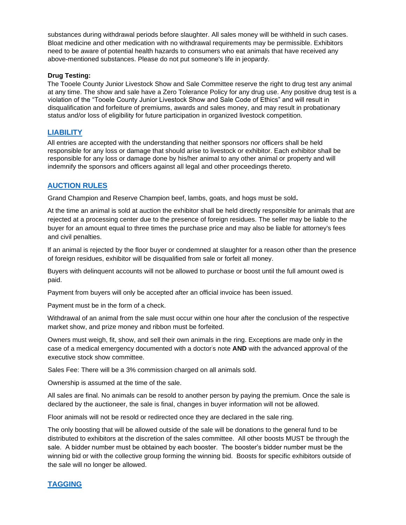substances during withdrawal periods before slaughter. All sales money will be withheld in such cases. Bloat medicine and other medication with no withdrawal requirements may be permissible. Exhibitors need to be aware of potential health hazards to consumers who eat animals that have received any above-mentioned substances. Please do not put someone's life in jeopardy.

#### **Drug Testing:**

The Tooele County Junior Livestock Show and Sale Committee reserve the right to drug test any animal at any time. The show and sale have a Zero Tolerance Policy for any drug use. Any positive drug test is a violation of the "Tooele County Junior Livestock Show and Sale Code of Ethics" and will result in disqualification and forfeiture of premiums, awards and sales money, and may result in probationary status and/or loss of eligibility for future participation in organized livestock competition.

# <span id="page-5-0"></span>**[LIABILITY](#page-2-0)**

All entries are accepted with the understanding that neither sponsors nor officers shall be held responsible for any loss or damage that should arise to livestock or exhibitor. Each exhibitor shall be responsible for any loss or damage done by his/her animal to any other animal or property and will indemnify the sponsors and officers against all legal and other proceedings thereto.

# <span id="page-5-1"></span>**[AUCTION RULES](#page-2-0)**

Grand Champion and Reserve Champion beef, lambs, goats, and hogs must be sold**.** 

At the time an animal is sold at auction the exhibitor shall be held directly responsible for animals that are rejected at a processing center due to the presence of foreign residues. The seller may be liable to the buyer for an amount equal to three times the purchase price and may also be liable for attorney's fees and civil penalties.

If an animal is rejected by the floor buyer or condemned at slaughter for a reason other than the presence of foreign residues, exhibitor will be disqualified from sale or forfeit all money.

Buyers with delinquent accounts will not be allowed to purchase or boost until the full amount owed is paid.

Payment from buyers will only be accepted after an official invoice has been issued.

Payment must be in the form of a check.

Withdrawal of an animal from the sale must occur within one hour after the conclusion of the respective market show, and prize money and ribbon must be forfeited.

Owners must weigh, fit, show, and sell their own animals in the ring. Exceptions are made only in the case of a medical emergency documented with a doctor's note **AND** with the advanced approval of the executive stock show committee.

Sales Fee: There will be a 3% commission charged on all animals sold.

Ownership is assumed at the time of the sale.

All sales are final. No animals can be resold to another person by paying the premium. Once the sale is declared by the auctioneer, the sale is final, changes in buyer information will not be allowed.

Floor animals will not be resold or redirected once they are declared in the sale ring.

The only boosting that will be allowed outside of the sale will be donations to the general fund to be distributed to exhibitors at the discretion of the sales committee. All other boosts MUST be through the sale. A bidder number must be obtained by each booster. The booster's bidder number must be the winning bid or with the collective group forming the winning bid. Boosts for specific exhibitors outside of the sale will no longer be allowed.

# <span id="page-5-2"></span>**[TAGGING](#page-2-0)**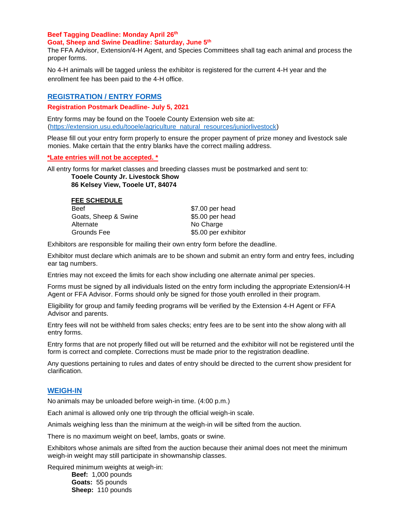#### **Beef Tagging Deadline: Monday April 26 th Goat, Sheep and Swine Deadline: Saturday, June 5 th**

The FFA Advisor, Extension/4-H Agent, and Species Committees shall tag each animal and process the proper forms.

No 4-H animals will be tagged unless the exhibitor is registered for the current 4-H year and the enrollment fee has been paid to the 4-H office.

# <span id="page-6-0"></span>**REGISTRATION [/ ENTRY FORMS](#page-2-0)**

**Registration Postmark Deadline- July 5, 2021**

Entry forms may be found on the Tooele County Extension web site at: [\(](http://www.tooelefair.com/)[https://extension.usu.edu/tooele/agriculture\\_natural\\_resources/juniorlivestock\)](https://extension.usu.edu/tooele/agriculture_natural_resources/juniorlivestock)

Please fill out your entry form properly to ensure the proper payment of prize money and livestock sale monies. Make certain that the entry blanks have the correct mailing address.

**\*Late entries will not be accepted. \***

All entry forms for market classes and breeding classes must be postmarked and sent to:

**Tooele County Jr. Livestock Show 86 Kelsey View, Tooele UT, 84074** 

| <b>FEE SCHEDULE</b>  |                      |
|----------------------|----------------------|
| <b>Beef</b>          | \$7.00 per head      |
| Goats, Sheep & Swine | \$5.00 per head      |
| Alternate            | No Charge            |
| Grounds Fee          | \$5.00 per exhibitor |
|                      |                      |

Exhibitors are responsible for mailing their own entry form before the deadline.

Exhibitor must declare which animals are to be shown and submit an entry form and entry fees, including ear tag numbers.

Entries may not exceed the limits for each show including one alternate animal per species.

Forms must be signed by all individuals listed on the entry form including the appropriate Extension/4-H Agent or FFA Advisor. Forms should only be signed for those youth enrolled in their program.

Eligibility for group and family feeding programs will be verified by the Extension 4-H Agent or FFA Advisor and parents.

Entry fees will not be withheld from sales checks; entry fees are to be sent into the show along with all entry forms.

Entry forms that are not properly filled out will be returned and the exhibitor will not be registered until the form is correct and complete. Corrections must be made prior to the registration deadline.

Any questions pertaining to rules and dates of entry should be directed to the current show president for clarification.

# <span id="page-6-1"></span>**[WEIGH-IN](#page-2-0)**

No animals may be unloaded before weigh-in time. (4:00 p.m.)

Each animal is allowed only one trip through the official weigh-in scale.

Animals weighing less than the minimum at the weigh-in will be sifted from the auction.

There is no maximum weight on beef, lambs, goats or swine.

Exhibitors whose animals are sifted from the auction because their animal does not meet the minimum weigh-in weight may still participate in showmanship classes.

Required minimum weights at weigh-in: **Beef:** 1,000 pounds **Goats:** 55 pounds **Sheep:** 110 pounds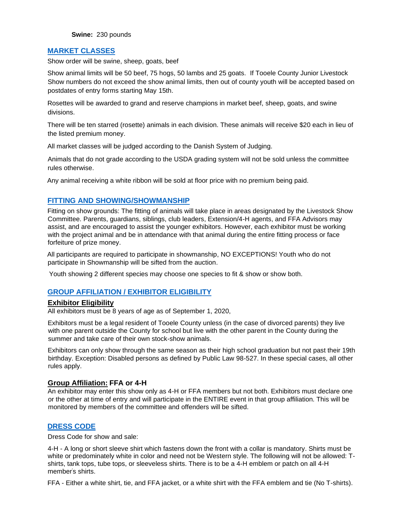**Swine:** 230 pounds

# <span id="page-7-0"></span>**[MARKET CLASSES](#page-2-0)**

Show order will be swine, sheep, goats, beef

Show animal limits will be 50 beef, 75 hogs, 50 lambs and 25 goats. If Tooele County Junior Livestock Show numbers do not exceed the show animal limits, then out of county youth will be accepted based on postdates of entry forms starting May 15th.

Rosettes will be awarded to grand and reserve champions in market beef, sheep, goats, and swine divisions.

There will be ten starred (rosette) animals in each division. These animals will receive \$20 each in lieu of the listed premium money.

All market classes will be judged according to the Danish System of Judging.

Animals that do not grade according to the USDA grading system will not be sold unless the committee rules otherwise.

Any animal receiving a white ribbon will be sold at floor price with no premium being paid.

# <span id="page-7-1"></span>**[FITTING AND SHOWING/SHOWMANSHIP](#page-2-0)**

Fitting on show grounds: The fitting of animals will take place in areas designated by the Livestock Show Committee. Parents, guardians, siblings, club leaders, Extension/4-H agents, and FFA Advisors may assist, and are encouraged to assist the younger exhibitors. However, each exhibitor must be working with the project animal and be in attendance with that animal during the entire fitting process or face forfeiture of prize money.

All participants are required to participate in showmanship, NO EXCEPTIONS! Youth who do not participate in Showmanship will be sifted from the auction.

Youth showing 2 different species may choose one species to fit & show or show both.

# <span id="page-7-2"></span>**[GROUP AFFILIATION / EXHIBITOR ELIGIBILITY](#page-2-0)**

#### **Exhibitor Eligibility**

All exhibitors must be 8 years of age as of September 1, 2020,

Exhibitors must be a legal resident of Tooele County unless (in the case of divorced parents) they live with one parent outside the County for school but live with the other parent in the County during the summer and take care of their own stock-show animals.

Exhibitors can only show through the same season as their high school graduation but not past their 19th birthday. Exception: Disabled persons as defined by Public Law 98-527. In these special cases, all other rules apply.

#### **Group Affiliation: FFA or 4-H**

An exhibitor may enter this show only as 4-H or FFA members but not both. Exhibitors must declare one or the other at time of entry and will participate in the ENTIRE event in that group affiliation. This will be monitored by members of the committee and offenders will be sifted.

#### <span id="page-7-3"></span>**[DRESS CODE](#page-2-0)**

Dress Code for show and sale:

4-H - A long or short sleeve shirt which fastens down the front with a collar is mandatory. Shirts must be white or predominately white in color and need not be Western style. The following will not be allowed: Tshirts, tank tops, tube tops, or sleeveless shirts. There is to be a 4-H emblem or patch on all 4-H member's shirts.

FFA - Either a white shirt, tie, and FFA jacket, or a white shirt with the FFA emblem and tie (No T-shirts).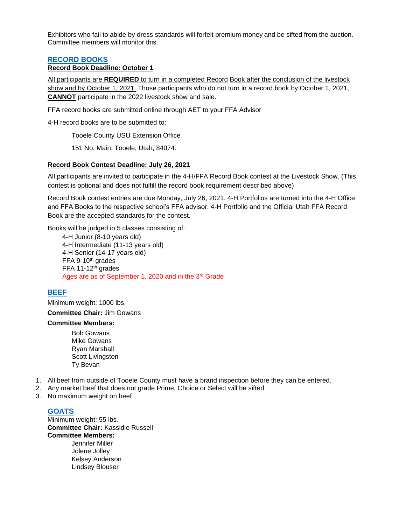Exhibitors who fail to abide by dress standards will forfeit premium money and be sifted from the auction. Committee members will monitor this.

# <span id="page-8-0"></span>**[RECORD BOOKS](#page-2-0)**

# **Record Book Deadline: October 1**

All participants are **REQUIRED** to turn in a completed Record Book after the conclusion of the livestock show and by October 1, 2021. Those participants who do not turn in a record book by October 1, 2021, **CANNOT** participate in the 2022 livestock show and sale.

FFA record books are submitted online through AET to your FFA Advisor

4-H record books are to be submitted to:

Tooele County USU Extension Office

151 No. Main, Tooele, Utah, 84074.

#### **Record Book Contest Deadline: July 26, 2021**

All participants are invited to participate in the 4-H/FFA Record Book contest at the Livestock Show. (This contest is optional and does not fulfill the record book requirement described above)

Record Book contest entries are due Monday, July 26, 2021. 4-H Portfolios are turned into the 4-H Office and FFA Books to the respective school's FFA advisor. 4-H Portfolio and the Official Utah FFA Record Book are the accepted standards for the contest.

Books will be judged in 5 classes consisting of:

4-H Junior (8-10 years old) 4-H Intermediate (11-13 years old) 4-H Senior (14-17 years old)  $FFA$  9-10<sup>th</sup> grades FFA 11-12<sup>th</sup> grades Ages are as of September 1, 2020 and in the 3rd Grade

# <span id="page-8-1"></span>**[BEEF](#page-2-0)**

Minimum weight: 1000 lbs.

**Committee Chair:** Jim Gowans

#### **Committee Members:**

Bob Gowans Mike Gowans Ryan Marshall Scott Livingston Ty Bevan

- 1. All beef from outside of Tooele County must have a brand inspection before they can be entered.
- 2. Any market beef that does not grade Prime, Choice or Select will be sifted.
- 3. No maximum weight on beef

# <span id="page-8-2"></span>**[GOATS](#page-2-0)**

Minimum weight: 55 lbs. **Committee Chair:** Kassidie Russell **Committee Members:** Jennifer Miller Jolene Jolley Kelsey Anderson Lindsey Blouser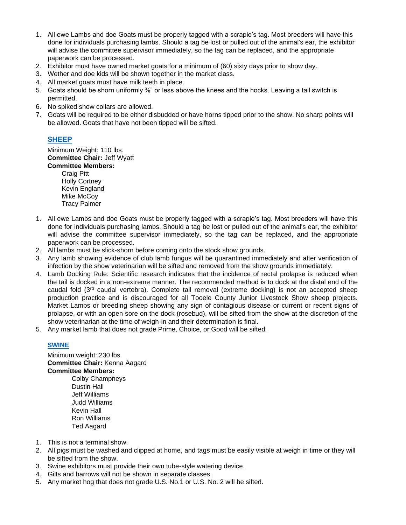- 1. All ewe Lambs and doe Goats must be properly tagged with a scrapie's tag. Most breeders will have this done for individuals purchasing lambs. Should a tag be lost or pulled out of the animal's ear, the exhibitor will advise the committee supervisor immediately, so the tag can be replaced, and the appropriate paperwork can be processed.
- 2. Exhibitor must have owned market goats for a minimum of (60) sixty days prior to show day.
- 3. Wether and doe kids will be shown together in the market class.
- 4. All market goats must have milk teeth in place.
- 5. Goats should be shorn uniformly <sup>3</sup>/<sub>6</sub>" or less above the knees and the hocks. Leaving a tail switch is permitted.
- 6. No spiked show collars are allowed.
- 7. Goats will be required to be either disbudded or have horns tipped prior to the show. No sharp points will be allowed. Goats that have not been tipped will be sifted.

# <span id="page-9-0"></span>**[SHEEP](#page-2-0)**

Minimum Weight: 110 lbs. **Committee Chair:** Jeff Wyatt **Committee Members:**

Craig Pitt Holly Cortney Kevin England Mike McCov Tracy Palmer

- 1. All ewe Lambs and doe Goats must be properly tagged with a scrapie's tag. Most breeders will have this done for individuals purchasing lambs. Should a tag be lost or pulled out of the animal's ear, the exhibitor will advise the committee supervisor immediately, so the tag can be replaced, and the appropriate paperwork can be processed.
- 2. All lambs must be slick-shorn before coming onto the stock show grounds.
- 3. Any lamb showing evidence of club lamb fungus will be quarantined immediately and after verification of infection by the show veterinarian will be sifted and removed from the show grounds immediately.
- 4. Lamb Docking Rule: Scientific research indicates that the incidence of rectal prolapse is reduced when the tail is docked in a non-extreme manner. The recommended method is to dock at the distal end of the caudal fold (3rd caudal vertebra). Complete tail removal (extreme docking) is not an accepted sheep production practice and is discouraged for all Tooele County Junior Livestock Show sheep projects. Market Lambs or breeding sheep showing any sign of contagious disease or current or recent signs of prolapse, or with an open sore on the dock (rosebud), will be sifted from the show at the discretion of the show veterinarian at the time of weigh-in and their determination is final.
- 5. Any market lamb that does not grade Prime, Choice, or Good will be sifted.

# <span id="page-9-1"></span>**[SWINE](#page-2-0)**

Minimum weight: 230 lbs. **Committee Chair:** Kenna Aagard **Committee Members:**

Colby Champneys Dustin Hall Jeff Williams Judd Williams Kevin Hall Ron Williams Ted Aagard

- 1. This is not a terminal show.
- 2. All pigs must be washed and clipped at home, and tags must be easily visible at weigh in time or they will be sifted from the show.
- 3. Swine exhibitors must provide their own tube-style watering device.
- 4. Gilts and barrows will not be shown in separate classes.
- 5. Any market hog that does not grade U.S. No.1 or U.S. No. 2 will be sifted.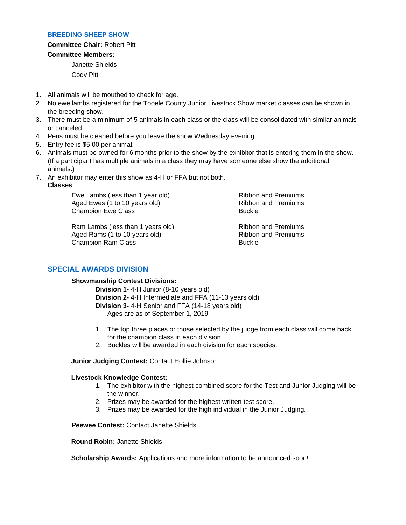#### <span id="page-10-0"></span>**[BREEDING SHEEP SHOW](#page-2-0)**

**Committee Chair:** Robert Pitt **Committee Members:** Janette Shields

Cody Pitt

- 1. All animals will be mouthed to check for age.
- 2. No ewe lambs registered for the Tooele County Junior Livestock Show market classes can be shown in the breeding show.
- 3. There must be a minimum of 5 animals in each class or the class will be consolidated with similar animals or canceled.
- 4. Pens must be cleaned before you leave the show Wednesday evening.
- 5. Entry fee is \$5.00 per animal.
- 6. Animals must be owned for 6 months prior to the show by the exhibitor that is entering them in the show. (If a participant has multiple animals in a class they may have someone else show the additional animals.)
- 7. An exhibitor may enter this show as 4-H or FFA but not both.

#### **Classes**

Ewe Lambs (less than 1 year old) The Ribbon and Premiums Aged Ewes (1 to 10 years old) Ribbon and Premiums Champion Ewe Class Buckle

Ram Lambs (less than 1 years old) Ribbon and Premiums Aged Rams (1 to 10 years old) Ribbon and Premiums Champion Ram Class **Buckle** 

# **[SPECIAL AWARDS DIVISION](#page-2-0)**

#### **Showmanship Contest Divisions:**

**Division 1-** 4-H Junior (8-10 years old) **Division 2-** 4-H Intermediate and FFA (11-13 years old) **Division 3-** 4-H Senior and FFA (14-18 years old) Ages are as of September 1, 2019

- 1. The top three places or those selected by the judge from each class will come back for the champion class in each division.
- 2. Buckles will be awarded in each division for each species.

#### **Junior Judging Contest:** Contact Hollie Johnson

#### **Livestock Knowledge Contest:**

- 1. The exhibitor with the highest combined score for the Test and Junior Judging will be the winner.
- 2. Prizes may be awarded for the highest written test score.
- 3. Prizes may be awarded for the high individual in the Junior Judging.

**Peewee Contest:** Contact Janette Shields

**Round Robin:** Janette Shields

**Scholarship Awards:** Applications and more information to be announced soon!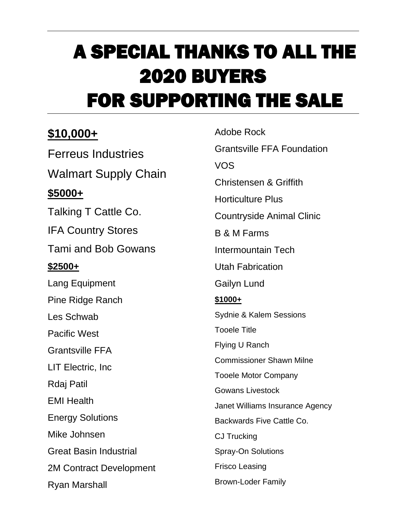# A SPECIAL THANKS TO ALL THE 2020 BUYERS FOR SUPPORTING THE SALE

# **\$10,000+**

Ferreus Industries Walmart Supply Chain **\$5000+** Talking T Cattle Co. IFA Country Stores Tami and Bob Gowans **\$2500+** Lang Equipment Pine Ridge Ranch Les Schwab Pacific West Grantsville FFA LIT Electric, Inc Rdaj Patil EMI Health Energy Solutions Mike Johnsen Great Basin Industrial 2M Contract Development Ryan Marshall

Adobe Rock Grantsville FFA Foundation VOS Christensen & Griffith Horticulture Plus Countryside Animal Clinic B & M Farms Intermountain Tech Utah Fabrication Gailyn Lund **\$1000+** Sydnie & Kalem Sessions Tooele Title Flying U Ranch Commissioner Shawn Milne Tooele Motor Company Gowans Livestock Janet Williams Insurance Agency Backwards Five Cattle Co. CJ Trucking Spray-On Solutions Frisco Leasing Brown-Loder Family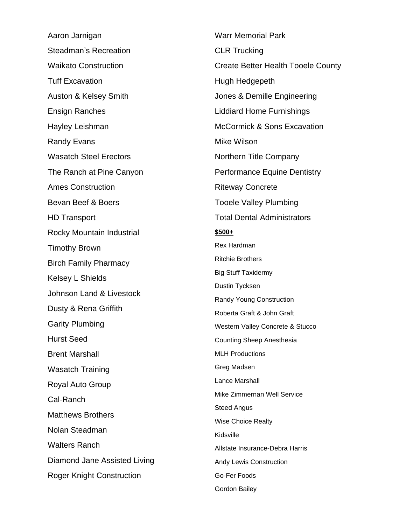Aaron Jarnigan Steadman's Recreation Waikato Construction Tuff Excavation Auston & Kelsey Smith Ensign Ranches Hayley Leishman Randy Evans Wasatch Steel Erectors The Ranch at Pine Canyon Ames Construction Bevan Beef & Boers HD Transport Rocky Mountain Industrial Timothy Brown Birch Family Pharmacy Kelsey L Shields Johnson Land & Livestock Dusty & Rena Griffith Garity Plumbing Hurst Seed Brent Marshall Wasatch Training Royal Auto Group Cal-Ranch Matthews Brothers Nolan Steadman Walters Ranch Diamond Jane Assisted Living Roger Knight Construction

Warr Memorial Park CLR Trucking Create Better Health Tooele County Hugh Hedgepeth Jones & Demille Engineering Liddiard Home Furnishings McCormick & Sons Excavation Mike Wilson Northern Title Company Performance Equine Dentistry Riteway Concrete Tooele Valley Plumbing Total Dental Administrators **\$500+** Rex Hardman Ritchie Brothers Big Stuff Taxidermy Dustin Tycksen Randy Young Construction Roberta Graft & John Graft Western Valley Concrete & Stucco Counting Sheep Anesthesia MLH Productions Greg Madsen Lance Marshall Mike Zimmernan Well Service Steed Angus Wise Choice Realty Kidsville Allstate Insurance-Debra Harris Andy Lewis Construction Go-Fer Foods Gordon Bailey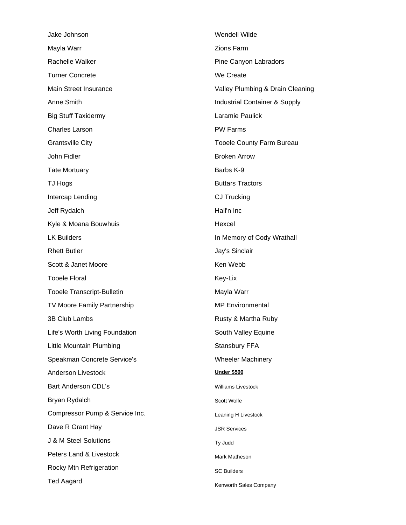| Jake Johnson                      | Wendell Wilde                    |  |
|-----------------------------------|----------------------------------|--|
| Mayla Warr                        | <b>Zions Farm</b>                |  |
| Rachelle Walker                   | Pine Canyon Labradors            |  |
| <b>Turner Concrete</b>            | We Create                        |  |
| <b>Main Street Insurance</b>      | Valley Plumbing & Drain Cleaning |  |
| Anne Smith                        | Industrial Container & Supply    |  |
| <b>Big Stuff Taxidermy</b>        | Laramie Paulick                  |  |
| <b>Charles Larson</b>             | <b>PW Farms</b>                  |  |
| <b>Grantsville City</b>           | <b>Tooele County Farm Bureau</b> |  |
| John Fidler                       | <b>Broken Arrow</b>              |  |
| <b>Tate Mortuary</b>              | Barbs K-9                        |  |
| TJ Hogs                           | <b>Buttars Tractors</b>          |  |
| Intercap Lending                  | CJ Trucking                      |  |
| Jeff Rydalch                      | Hall'n Inc                       |  |
| Kyle & Moana Bouwhuis             | Hexcel                           |  |
| <b>LK Builders</b>                | In Memory of Cody Wrathall       |  |
| <b>Rhett Butler</b>               | Jay's Sinclair                   |  |
| Scott & Janet Moore               | Ken Webb                         |  |
| <b>Tooele Floral</b>              | Key-Lix                          |  |
| <b>Tooele Transcript-Bulletin</b> | Mayla Warr                       |  |
| TV Moore Family Partnership       | <b>MP</b> Environmental          |  |
| 3B Club Lambs                     | Rusty & Martha Ruby              |  |
| Life's Worth Living Foundation    | South Valley Equine              |  |
| Little Mountain Plumbing          | Stansbury FFA                    |  |
| Speakman Concrete Service's       | <b>Wheeler Machinery</b>         |  |
| <b>Anderson Livestock</b>         | <u>Under \$500</u>               |  |
| <b>Bart Anderson CDL's</b>        | Williams Livestock               |  |
| Bryan Rydalch                     | Scott Wolfe                      |  |
| Compressor Pump & Service Inc.    | Leaning H Livestock              |  |
| Dave R Grant Hay                  | <b>JSR Services</b>              |  |
| J & M Steel Solutions             | Ty Judd                          |  |
| Peters Land & Livestock           | Mark Matheson                    |  |
| Rocky Mtn Refrigeration           | <b>SC Builders</b>               |  |
| <b>Ted Aagard</b>                 | Kenworth Sales Company           |  |